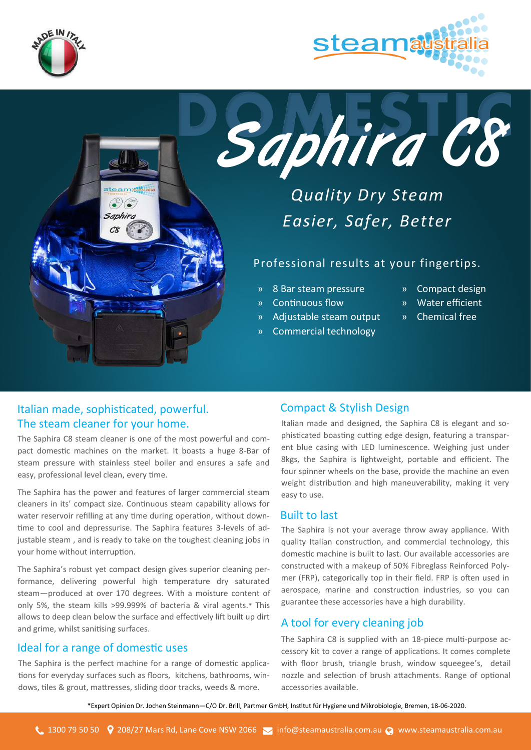





# *Quality Dry Steam Easier, Safer, Better*

### Professional results at your fingertips.

- » 8 Bar steam pressure
- » Continuous flow
- » Adjustable steam output
- » Commercial technology
- » Compact design
- » Water efficient
- » Chemical free

## Italian made, sophisticated, powerful. The steam cleaner for your home.

 $\odot$ Saphira  $C8$ 

The Saphira C8 steam cleaner is one of the most powerful and compact domestic machines on the market. It boasts a huge 8-Bar of steam pressure with stainless steel boiler and ensures a safe and easy, professional level clean, every time.

The Saphira has the power and features of larger commercial steam cleaners in its' compact size. Continuous steam capability allows for water reservoir refilling at any time during operation, without downtime to cool and depressurise. The Saphira features 3-levels of adjustable steam , and is ready to take on the toughest cleaning jobs in your home without interruption.

The Saphira's robust yet compact design gives superior cleaning performance, delivering powerful high temperature dry saturated steam—produced at over 170 degrees. With a moisture content of only 5%, the steam kills >99.999% of bacteria & viral agents.\* This allows to deep clean below the surface and effectively lift built up dirt and grime, whilst sanitising surfaces.

#### Ideal for a range of domestic uses

The Saphira is the perfect machine for a range of domestic applications for everyday surfaces such as floors, kitchens, bathrooms, windows, tiles & grout, mattresses, sliding door tracks, weeds & more.

#### Compact & Stylish Design

Italian made and designed, the Saphira C8 is elegant and sophisticated boasting cutting edge design, featuring a transparent blue casing with LED luminescence. Weighing just under 8kgs, the Saphira is lightweight, portable and efficient. The four spinner wheels on the base, provide the machine an even weight distribution and high maneuverability, making it very easy to use.

#### Built to last

The Saphira is not your average throw away appliance. With quality Italian construction, and commercial technology, this domestic machine is built to last. Our available accessories are constructed with a makeup of 50% Fibreglass Reinforced Polymer (FRP), categorically top in their field. FRP is often used in aerospace, marine and construction industries, so you can guarantee these accessories have a high durability.

## A tool for every cleaning job

The Saphira C8 is supplied with an 18-piece multi-purpose accessory kit to cover a range of applications. It comes complete with floor brush, triangle brush, window squeegee's, detail nozzle and selection of brush attachments. Range of optional accessories available.

\*\*Expert Opinion Dr. Jochen Steinmann—C/O Dr. Brill, Partmer GmbH, Institut für Hygiene und Mikrobiologie, Bremen, 18-06-2020.